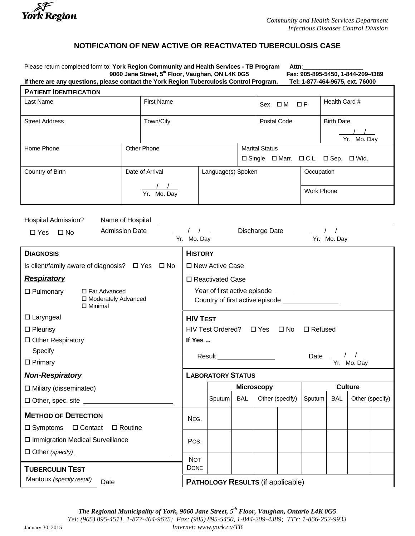

## **NOTIFICATION OF NEW ACTIVE OR REACTIVATED TUBERCULOSIS CASE**

Please return completed form to: **York Region Community and Health Services - TB Program Attn:**<br>9060 Jane Street, 5<sup>th</sup> Floor, Vaughan, ON L4K 0G5 **Fax: 905-895-5450, 1-844-209-4389** 9060 Jane Street, 5<sup>th</sup> Floor, Vaughan, ON L4K 0G5 Fax: 905-895-5450, 1-844-209-43<br>ase contact the York Region Tuberculosis Control Program. Tel: 1-877-464-9675, ext. 76000 If there are any questions, please contact the York Region Tuberculosis Control Program.

| <b>PATIENT IDENTIFICATION</b> |                 |                   |                    |                       |              |                      |  |                                       |  |
|-------------------------------|-----------------|-------------------|--------------------|-----------------------|--------------|----------------------|--|---------------------------------------|--|
| Last Name                     |                 | <b>First Name</b> |                    |                       | $Sex \Box M$ | $\Box$ $\Box$ $\Box$ |  | Health Card #                         |  |
| <b>Street Address</b>         |                 | Town/City         |                    |                       | Postal Code  |                      |  | <b>Birth Date</b>                     |  |
|                               |                 |                   |                    |                       |              |                      |  | Yr. Mo. Day                           |  |
| Home Phone                    | Other Phone     |                   |                    | <b>Marital Status</b> |              |                      |  |                                       |  |
|                               |                 |                   |                    |                       |              |                      |  | □ Single □ Marr. □ C.L. □ Sep. □ Wid. |  |
| Country of Birth              | Date of Arrival |                   | Language(s) Spoken |                       |              | Occupation           |  |                                       |  |
|                               |                 |                   |                    |                       |              |                      |  |                                       |  |
|                               |                 | Yr. Mo. Day       |                    |                       |              |                      |  | Work Phone                            |  |

Hospital Admission? Name of Hospital

| $\square$ Yes<br>$\square$ No                                                 | <b>Admission Date</b>                                     |      |                                                                                       | Discharge Date<br>Yr. Mo. Day |            |  |                 |                | Yr. Mo. Day |                 |  |  |
|-------------------------------------------------------------------------------|-----------------------------------------------------------|------|---------------------------------------------------------------------------------------|-------------------------------|------------|--|-----------------|----------------|-------------|-----------------|--|--|
| <b>DIAGNOSIS</b>                                                              |                                                           |      | <b>HISTORY</b>                                                                        |                               |            |  |                 |                |             |                 |  |  |
|                                                                               | Is client/family aware of diagnosis? $\Box$ Yes $\Box$ No |      |                                                                                       | □ New Active Case             |            |  |                 |                |             |                 |  |  |
| <b>Respiratory</b>                                                            |                                                           |      |                                                                                       | □ Reactivated Case            |            |  |                 |                |             |                 |  |  |
| □ Far Advanced<br>$\Box$ Pulmonary<br>□ Moderately Advanced<br>$\Box$ Minimal |                                                           |      | Year of first active episode _____<br>Country of first active episode _______________ |                               |            |  |                 |                |             |                 |  |  |
| $\Box$ Laryngeal                                                              |                                                           |      | <b>HIV TEST</b>                                                                       |                               |            |  |                 |                |             |                 |  |  |
| $\square$ Pleurisy                                                            |                                                           |      | HIV Test Ordered? □ Yes □ No<br>$\Box$ Refused                                        |                               |            |  |                 |                |             |                 |  |  |
| □ Other Respiratory                                                           |                                                           |      | If Yes                                                                                |                               |            |  |                 |                |             |                 |  |  |
| Specify <b>Specify Specify</b>                                                |                                                           |      | $\frac{1}{2}$<br>Result <u>Samuel Advisory</u><br>Date                                |                               |            |  |                 |                |             |                 |  |  |
| $\Box$ Primary                                                                |                                                           |      |                                                                                       |                               |            |  |                 |                |             | Yr. Mo. Day     |  |  |
| <b>Non-Respiratory</b>                                                        |                                                           |      |                                                                                       | <b>LABORATORY STATUS</b>      |            |  |                 |                |             |                 |  |  |
| $\Box$ Miliary (disseminated)                                                 |                                                           |      |                                                                                       | <b>Microscopy</b>             |            |  |                 | <b>Culture</b> |             |                 |  |  |
|                                                                               |                                                           |      |                                                                                       | Sputum                        | <b>BAL</b> |  | Other (specify) | Sputum         | <b>BAL</b>  | Other (specify) |  |  |
| <b>METHOD OF DETECTION</b>                                                    |                                                           |      | NEG.                                                                                  |                               |            |  |                 |                |             |                 |  |  |
| $\square$ Symptoms                                                            | □ Contact<br>$\Box$ Routine                               |      |                                                                                       |                               |            |  |                 |                |             |                 |  |  |
| □ Immigration Medical Surveillance                                            |                                                           | Pos. |                                                                                       |                               |            |  |                 |                |             |                 |  |  |
| $\Box$ Other (specify) $\Box$                                                 |                                                           |      |                                                                                       |                               |            |  |                 |                |             |                 |  |  |
| <b>TUBERCULIN TEST</b>                                                        |                                                           |      | <b>NOT</b><br><b>DONE</b>                                                             |                               |            |  |                 |                |             |                 |  |  |
| Mantoux (specify result)<br>Date                                              |                                                           |      | <b>PATHOLOGY RESULTS (if applicable)</b>                                              |                               |            |  |                 |                |             |                 |  |  |

*The Regional Municipality of York, 9060 Jane Street, 5th Floor, Vaughan, Ontario L4K 0G5 Tel: (905) 895-4511, 1-877-464-9675; Fax: (905) 895-5450, 1-844-209-4389; TTY: 1-866-252-9933* January 30, 2015 *Internet: www.york.ca/TB*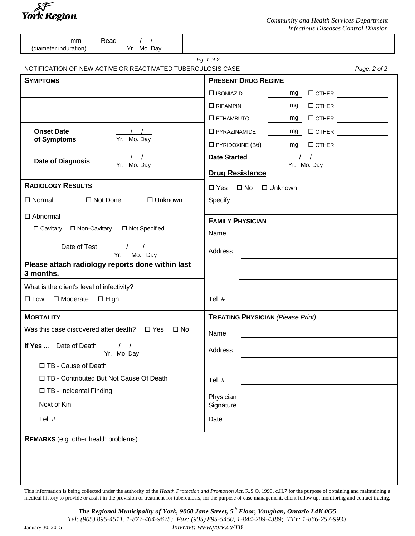

| Read<br>$\sqrt{1}$<br>mm<br>Yr. Mo. Day<br>(diameter induration)               |                                                                                                                  |              |
|--------------------------------------------------------------------------------|------------------------------------------------------------------------------------------------------------------|--------------|
|                                                                                | Pg. 1 of 2                                                                                                       |              |
| NOTIFICATION OF NEW ACTIVE OR REACTIVATED TUBERCULOSIS CASE<br><b>SYMPTOMS</b> | <b>PRESENT DRUG REGIME</b>                                                                                       | Page. 2 of 2 |
|                                                                                |                                                                                                                  |              |
|                                                                                | $\square$ ISONIAZID<br>$mg$ $\Box$ OTHER $\_\_\_\_\_\_\_\_\_\_\_\_\_\_\_\_\_\_\_$                                |              |
|                                                                                | $\Box$ RIFAMPIN<br>mg                                                                                            |              |
|                                                                                | $\square$ ETHAMBUTOL                                                                                             |              |
| <b>Onset Date</b><br>$\sqrt{1}$<br>Yr. Mo. Day<br>of Symptoms                  | $\square$ PYRAZINAMIDE<br>mg<br>$\Box$ PYRIDOXINE (B6) $\qquad \qquad \underline{\qquad \text{mg}}$ $\Box$ OTHER |              |
| <b>Date of Diagnosis</b><br>Yr. Mo. Day                                        | <b>Date Started</b><br>Yr. Mo. Day<br><b>Drug Resistance</b>                                                     |              |
| <b>RADIOLOGY RESULTS</b>                                                       | □ Yes □ No □ Unknown                                                                                             |              |
| □ Normal<br>□ Not Done<br>□ Unknown                                            | Specify<br><u> 1989 - Jan Samuel Barbara, martin a</u>                                                           |              |
| $\Box$ Abnormal                                                                |                                                                                                                  |              |
| □ Cavitary □ Non-Cavitary □ Not Specified                                      | <b>FAMILY PHYSICIAN</b><br>Name                                                                                  |              |
| Yr. Mo. Day                                                                    | Address                                                                                                          |              |
| Please attach radiology reports done within last<br>3 months.                  |                                                                                                                  |              |
| What is the client's level of infectivity?                                     |                                                                                                                  |              |
| □ Low □ Moderate □ High                                                        | Tel. #                                                                                                           |              |
| <b>MORTALITY</b>                                                               | <b>TREATING PHYSICIAN (Please Print)</b>                                                                         |              |
| Was this case discovered after death? $\Box$ Yes $\Box$ No                     | Name                                                                                                             |              |
| Date of Death<br>If Yes<br>Yr. Mo. Day                                         | Address                                                                                                          |              |
| □ TB - Cause of Death                                                          |                                                                                                                  |              |
| □ TB - Contributed But Not Cause Of Death                                      | Tel. #                                                                                                           |              |
| □ TB - Incidental Finding                                                      | Physician                                                                                                        |              |
| Next of Kin                                                                    | Signature                                                                                                        |              |
| Tel. #                                                                         | Date                                                                                                             |              |
| <b>REMARKS</b> (e.g. other health problems)                                    |                                                                                                                  |              |
|                                                                                |                                                                                                                  |              |
|                                                                                |                                                                                                                  |              |

This information is being collected under the authority of the *Health Protection and Promotion Act,* R.S.O. 1990, c.H.7 for the purpose of obtaining and maintaining a medical history to provide or assist in the provision of treatment for tuberculosis, for the purpose of case management, client follow up, monitoring and contact tracing,

*The Regional Municipality of York, 9060 Jane Street, 5th Floor, Vaughan, Ontario L4K 0G5 Tel: (905) 895-4511, 1-877-464-9675; Fax: (905) 895-5450, 1-844-209-4389; TTY: 1-866-252-9933* January 30, 2015 *Internet: www.york.ca/TB*